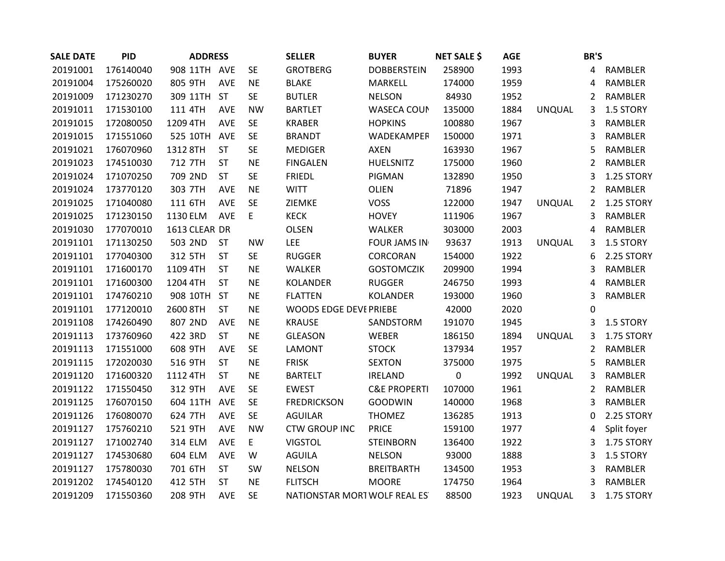| <b>SALE DATE</b> | <b>PID</b> | <b>ADDRESS</b> |            |           | <b>SELLER</b>                 | <b>BUYER</b>            | <b>NET SALE \$</b> | <b>AGE</b> |               | <b>BR'S</b>    |                |
|------------------|------------|----------------|------------|-----------|-------------------------------|-------------------------|--------------------|------------|---------------|----------------|----------------|
| 20191001         | 176140040  | 908 11TH AVE   |            | <b>SE</b> | <b>GROTBERG</b>               | <b>DOBBERSTEIN</b>      | 258900             | 1993       |               | 4              | RAMBLER        |
| 20191004         | 175260020  | 805 9TH        | AVE        | <b>NE</b> | <b>BLAKE</b>                  | MARKELL                 | 174000             | 1959       |               | 4              | RAMBLER        |
| 20191009         | 171230270  | 309 11TH       | <b>ST</b>  | <b>SE</b> | <b>BUTLER</b>                 | <b>NELSON</b>           | 84930              | 1952       |               | $\overline{2}$ | RAMBLER        |
| 20191011         | 171530100  | 111 4TH        | AVE        | <b>NW</b> | <b>BARTLET</b>                | WASECA COUN             | 135000             | 1884       | <b>UNQUAL</b> | 3              | 1.5 STORY      |
| 20191015         | 172080050  | 1209 4TH       | AVE        | <b>SE</b> | <b>KRABER</b>                 | <b>HOPKINS</b>          | 100880             | 1967       |               | 3              | RAMBLER        |
| 20191015         | 171551060  | 525 10TH       | <b>AVE</b> | <b>SE</b> | <b>BRANDT</b>                 | WADEKAMPER              | 150000             | 1971       |               | 3              | <b>RAMBLER</b> |
| 20191021         | 176070960  | 1312 8TH       | <b>ST</b>  | <b>SE</b> | <b>MEDIGER</b>                | <b>AXEN</b>             | 163930             | 1967       |               | 5              | RAMBLER        |
| 20191023         | 174510030  | 712 7TH        | <b>ST</b>  | <b>NE</b> | <b>FINGALEN</b>               | HUELSNITZ               | 175000             | 1960       |               | $\overline{2}$ | RAMBLER        |
| 20191024         | 171070250  | 709 2ND        | <b>ST</b>  | <b>SE</b> | <b>FRIEDL</b>                 | PIGMAN                  | 132890             | 1950       |               | 3              | 1.25 STORY     |
| 20191024         | 173770120  | 303 7TH        | AVE        | <b>NE</b> | <b>WITT</b>                   | OLIEN                   | 71896              | 1947       |               | $\overline{2}$ | RAMBLER        |
| 20191025         | 171040080  | 111 6TH        | AVE        | <b>SE</b> | ZIEMKE                        | <b>VOSS</b>             | 122000             | 1947       | <b>UNQUAL</b> | $\overline{2}$ | 1.25 STORY     |
| 20191025         | 171230150  | 1130 ELM       | <b>AVE</b> | E         | <b>KECK</b>                   | <b>HOVEY</b>            | 111906             | 1967       |               | 3              | RAMBLER        |
| 20191030         | 177070010  | 1613 CLEAR DR  |            |           | <b>OLSEN</b>                  | WALKER                  | 303000             | 2003       |               | 4              | RAMBLER        |
| 20191101         | 171130250  | 503 2ND        | <b>ST</b>  | <b>NW</b> | LEE                           | <b>FOUR JAMS IN</b>     | 93637              | 1913       | <b>UNQUAL</b> | 3              | 1.5 STORY      |
| 20191101         | 177040300  | 312 5TH        | <b>ST</b>  | <b>SE</b> | <b>RUGGER</b>                 | CORCORAN                | 154000             | 1922       |               | 6              | 2.25 STORY     |
| 20191101         | 171600170  | 1109 4TH       | <b>ST</b>  | <b>NE</b> | WALKER                        | <b>GOSTOMCZIK</b>       | 209900             | 1994       |               | 3              | RAMBLER        |
| 20191101         | 171600300  | 1204 4TH       | ST         | <b>NE</b> | <b>KOLANDER</b>               | <b>RUGGER</b>           | 246750             | 1993       |               | 4              | RAMBLER        |
| 20191101         | 174760210  | 908 10TH       | <b>ST</b>  | <b>NE</b> | <b>FLATTEN</b>                | <b>KOLANDER</b>         | 193000             | 1960       |               | 3              | RAMBLER        |
| 20191101         | 177120010  | 2600 8TH       | ST         | <b>NE</b> | WOODS EDGE DEVEPRIEBE         |                         | 42000              | 2020       |               | 0              |                |
| 20191108         | 174260490  | 807 2ND        | AVE        | <b>NE</b> | <b>KRAUSE</b>                 | SANDSTORM               | 191070             | 1945       |               | 3              | 1.5 STORY      |
| 20191113         | 173760960  | 422 3RD        | <b>ST</b>  | <b>NE</b> | <b>GLEASON</b>                | WEBER                   | 186150             | 1894       | <b>UNQUAL</b> | 3              | 1.75 STORY     |
| 20191113         | 171551000  | 608 9TH        | AVE        | <b>SE</b> | <b>LAMONT</b>                 | <b>STOCK</b>            | 137934             | 1957       |               | $\overline{2}$ | RAMBLER        |
| 20191115         | 172020030  | 516 9TH        | <b>ST</b>  | <b>NE</b> | <b>FRISK</b>                  | <b>SEXTON</b>           | 375000             | 1975       |               | 5              | RAMBLER        |
| 20191120         | 171600320  | 1112 4TH       | <b>ST</b>  | <b>NE</b> | <b>BARTELT</b>                | <b>IRELAND</b>          | $\boldsymbol{0}$   | 1992       | <b>UNQUAL</b> | 3              | RAMBLER        |
| 20191122         | 171550450  | 312 9TH        | AVE        | <b>SE</b> | <b>EWEST</b>                  | <b>C&amp;E PROPERTI</b> | 107000             | 1961       |               | 2              | RAMBLER        |
| 20191125         | 176070150  | 604 11TH       | <b>AVE</b> | <b>SE</b> | <b>FREDRICKSON</b>            | <b>GOODWIN</b>          | 140000             | 1968       |               | 3              | RAMBLER        |
| 20191126         | 176080070  | 624 7TH        | AVE        | <b>SE</b> | <b>AGUILAR</b>                | <b>THOMEZ</b>           | 136285             | 1913       |               | 0              | 2.25 STORY     |
| 20191127         | 175760210  | 521 9TH        | AVE        | <b>NW</b> | <b>CTW GROUP INC</b>          | <b>PRICE</b>            | 159100             | 1977       |               | 4              | Split foyer    |
| 20191127         | 171002740  | 314 ELM        | AVE        | E         | <b>VIGSTOL</b>                | <b>STEINBORN</b>        | 136400             | 1922       |               | 3              | 1.75 STORY     |
| 20191127         | 174530680  | 604 ELM        | AVE        | W         | <b>AGUILA</b>                 | <b>NELSON</b>           | 93000              | 1888       |               | 3              | 1.5 STORY      |
| 20191127         | 175780030  | 701 6TH        | <b>ST</b>  | SW        | <b>NELSON</b>                 | <b>BREITBARTH</b>       | 134500             | 1953       |               | 3              | RAMBLER        |
| 20191202         | 174540120  | 412 5TH        | <b>ST</b>  | <b>NE</b> | <b>FLITSCH</b>                | <b>MOORE</b>            | 174750             | 1964       |               | 3              | RAMBLER        |
| 20191209         | 171550360  | 208 9TH        | <b>AVE</b> | <b>SE</b> | NATIONSTAR MORT WOLF REAL EST |                         | 88500              | 1923       | <b>UNQUAL</b> | 3              | 1.75 STORY     |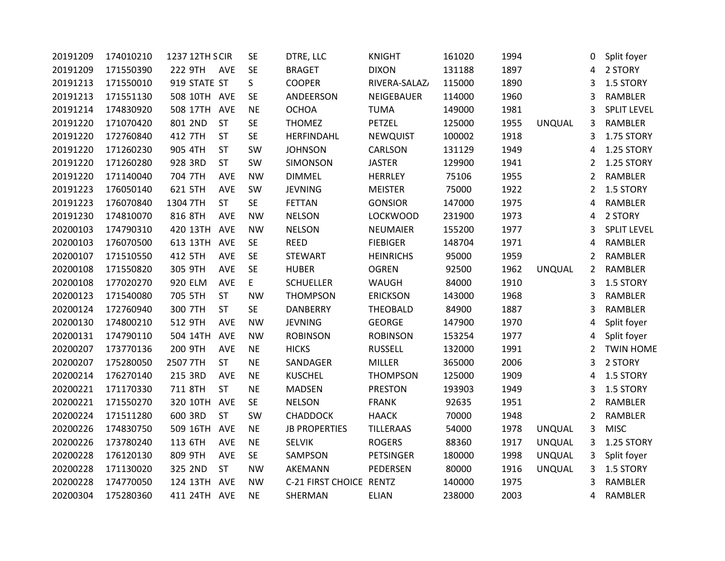| 20191209 | 174010210 | 1237 12TH SCIR |            | <b>SE</b> | DTRE, LLC               | <b>KNIGHT</b>    | 161020 | 1994 |               | 0              | Split foyer        |
|----------|-----------|----------------|------------|-----------|-------------------------|------------------|--------|------|---------------|----------------|--------------------|
| 20191209 | 171550390 | 222 9TH        | AVE        | <b>SE</b> | <b>BRAGET</b>           | <b>DIXON</b>     | 131188 | 1897 |               | 4              | 2 STORY            |
| 20191213 | 171550010 | 919 STATE ST   |            | S         | <b>COOPER</b>           | RIVERA-SALAZ/    | 115000 | 1890 |               | 3              | 1.5 STORY          |
| 20191213 | 171551130 | 508 10TH AVE   |            | <b>SE</b> | ANDEERSON               | NEIGEBAUER       | 114000 | 1960 |               | 3              | RAMBLER            |
| 20191214 | 174830920 | 508 17TH       | <b>AVE</b> | <b>NE</b> | <b>OCHOA</b>            | <b>TUMA</b>      | 149000 | 1981 |               | 3              | <b>SPLIT LEVEL</b> |
| 20191220 | 171070420 | 801 2ND        | ST         | <b>SE</b> | <b>THOMEZ</b>           | PETZEL           | 125000 | 1955 | <b>UNQUAL</b> | 3              | RAMBLER            |
| 20191220 | 172760840 | 412 7TH        | <b>ST</b>  | <b>SE</b> | HERFINDAHL              | <b>NEWQUIST</b>  | 100002 | 1918 |               | 3              | 1.75 STORY         |
| 20191220 | 171260230 | 905 4TH        | <b>ST</b>  | SW        | <b>JOHNSON</b>          | CARLSON          | 131129 | 1949 |               | 4              | 1.25 STORY         |
| 20191220 | 171260280 | 928 3RD        | <b>ST</b>  | SW        | SIMONSON                | <b>JASTER</b>    | 129900 | 1941 |               | 2              | 1.25 STORY         |
| 20191220 | 171140040 | 704 7TH        | <b>AVE</b> | <b>NW</b> | <b>DIMMEL</b>           | <b>HERRLEY</b>   | 75106  | 1955 |               | $\overline{2}$ | RAMBLER            |
| 20191223 | 176050140 | 621 5TH        | AVE        | SW        | <b>JEVNING</b>          | <b>MEISTER</b>   | 75000  | 1922 |               | $\overline{2}$ | 1.5 STORY          |
| 20191223 | 176070840 | 1304 7TH       | <b>ST</b>  | <b>SE</b> | <b>FETTAN</b>           | <b>GONSIOR</b>   | 147000 | 1975 |               | 4              | RAMBLER            |
| 20191230 | 174810070 | 816 8TH        | AVE        | <b>NW</b> | <b>NELSON</b>           | <b>LOCKWOOD</b>  | 231900 | 1973 |               | 4              | 2 STORY            |
| 20200103 | 174790310 | 420 13TH       | <b>AVE</b> | <b>NW</b> | <b>NELSON</b>           | <b>NEUMAIER</b>  | 155200 | 1977 |               | 3              | <b>SPLIT LEVEL</b> |
| 20200103 | 176070500 | 613 13TH       | <b>AVE</b> | <b>SE</b> | <b>REED</b>             | <b>FIEBIGER</b>  | 148704 | 1971 |               | 4              | RAMBLER            |
| 20200107 | 171510550 | 412 5TH        | AVE        | <b>SE</b> | STEWART                 | <b>HEINRICHS</b> | 95000  | 1959 |               | $\overline{2}$ | <b>RAMBLER</b>     |
| 20200108 | 171550820 | 305 9TH        | <b>AVE</b> | <b>SE</b> | <b>HUBER</b>            | <b>OGREN</b>     | 92500  | 1962 | <b>UNQUAL</b> | 2              | RAMBLER            |
| 20200108 | 177020270 | 920 ELM        | <b>AVE</b> | E         | <b>SCHUELLER</b>        | WAUGH            | 84000  | 1910 |               | 3              | 1.5 STORY          |
| 20200123 | 171540080 | 705 5TH        | <b>ST</b>  | <b>NW</b> | THOMPSON                | <b>ERICKSON</b>  | 143000 | 1968 |               | 3              | RAMBLER            |
| 20200124 | 172760940 | 300 7TH        | ST         | <b>SE</b> | <b>DANBERRY</b>         | THEOBALD         | 84900  | 1887 |               | 3              | RAMBLER            |
| 20200130 | 174800210 | 512 9TH        | AVE        | <b>NW</b> | <b>JEVNING</b>          | <b>GEORGE</b>    | 147900 | 1970 |               | 4              | Split foyer        |
| 20200131 | 174790110 | 504 14TH       | AVE        | <b>NW</b> | <b>ROBINSON</b>         | <b>ROBINSON</b>  | 153254 | 1977 |               | 4              | Split foyer        |
| 20200207 | 173770136 | 200 9TH        | AVE        | <b>NE</b> | <b>HICKS</b>            | <b>RUSSELL</b>   | 132000 | 1991 |               | $\overline{2}$ | <b>TWIN HOME</b>   |
| 20200207 | 175280050 | 2507 7TH       | <b>ST</b>  | <b>NE</b> | SANDAGER                | MILLER           | 365000 | 2006 |               | 3              | 2 STORY            |
| 20200214 | 176270140 | 215 3RD        | <b>AVE</b> | <b>NE</b> | <b>KUSCHEL</b>          | <b>THOMPSON</b>  | 125000 | 1909 |               | 4              | 1.5 STORY          |
| 20200221 | 171170330 | 711 8TH        | ST         | <b>NE</b> | <b>MADSEN</b>           | <b>PRESTON</b>   | 193903 | 1949 |               | 3              | 1.5 STORY          |
| 20200221 | 171550270 | 320 10TH       | <b>AVE</b> | <b>SE</b> | <b>NELSON</b>           | <b>FRANK</b>     | 92635  | 1951 |               | $\overline{2}$ | RAMBLER            |
| 20200224 | 171511280 | 600 3RD        | <b>ST</b>  | SW        | <b>CHADDOCK</b>         | <b>HAACK</b>     | 70000  | 1948 |               | 2              | RAMBLER            |
| 20200226 | 174830750 | 509 16TH       | AVE        | <b>NE</b> | <b>JB PROPERTIES</b>    | <b>TILLERAAS</b> | 54000  | 1978 | <b>UNQUAL</b> | 3              | <b>MISC</b>        |
| 20200226 | 173780240 | 113 6TH        | AVE        | <b>NE</b> | <b>SELVIK</b>           | <b>ROGERS</b>    | 88360  | 1917 | UNQUAL        | 3              | 1.25 STORY         |
| 20200228 | 176120130 | 809 9TH        | AVE        | <b>SE</b> | SAMPSON                 | <b>PETSINGER</b> | 180000 | 1998 | <b>UNQUAL</b> | 3              | Split foyer        |
| 20200228 | 171130020 | 325 2ND        | <b>ST</b>  | <b>NW</b> | AKEMANN                 | PEDERSEN         | 80000  | 1916 | UNQUAL        | 3              | 1.5 STORY          |
| 20200228 | 174770050 | 124 13TH       | <b>AVE</b> | <b>NW</b> | C-21 FIRST CHOICE RENTZ |                  | 140000 | 1975 |               | 3              | RAMBLER            |
| 20200304 | 175280360 | 411 24TH AVE   |            | <b>NE</b> | SHERMAN                 | <b>ELIAN</b>     | 238000 | 2003 |               | 4              | <b>RAMBLER</b>     |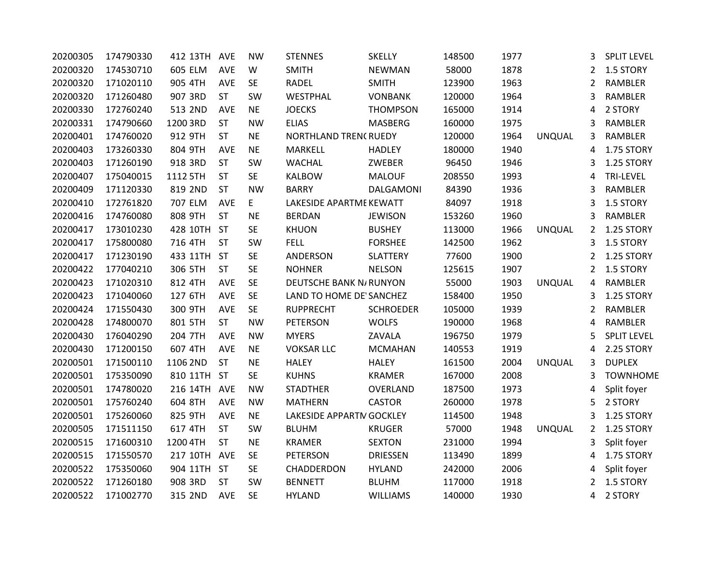| 20200305 | 174790330 | 412 13TH     | <b>AVE</b> | <b>NW</b> | <b>STENNES</b>                | <b>SKELLY</b>    | 148500 | 1977 |               | 3              | <b>SPLIT LEVEL</b> |
|----------|-----------|--------------|------------|-----------|-------------------------------|------------------|--------|------|---------------|----------------|--------------------|
| 20200320 | 174530710 | 605 ELM      | <b>AVE</b> | W         | <b>SMITH</b>                  | <b>NEWMAN</b>    | 58000  | 1878 |               | 2              | 1.5 STORY          |
| 20200320 | 171020110 | 905 4TH      | <b>AVE</b> | <b>SE</b> | <b>RADEL</b>                  | <b>SMITH</b>     | 123900 | 1963 |               | 2              | <b>RAMBLER</b>     |
| 20200320 | 171260480 | 907 3RD      | <b>ST</b>  | SW        | WESTPHAL                      | <b>VONBANK</b>   | 120000 | 1964 |               | 3              | <b>RAMBLER</b>     |
| 20200330 | 172760240 | 513 2ND      | <b>AVE</b> | <b>NE</b> | <b>JOECKS</b>                 | <b>THOMPSON</b>  | 165000 | 1914 |               | 4              | 2 STORY            |
| 20200331 | 174790660 | 1200 3RD     | <b>ST</b>  | <b>NW</b> | <b>ELIAS</b>                  | <b>MASBERG</b>   | 160000 | 1975 |               | 3              | <b>RAMBLER</b>     |
| 20200401 | 174760020 | 912 9TH      | <b>ST</b>  | <b>NE</b> | NORTHLAND TRENCRUEDY          |                  | 120000 | 1964 | <b>UNQUAL</b> | 3              | <b>RAMBLER</b>     |
| 20200403 | 173260330 | 804 9TH      | <b>AVE</b> | <b>NE</b> | MARKELL                       | <b>HADLEY</b>    | 180000 | 1940 |               | 4              | 1.75 STORY         |
| 20200403 | 171260190 | 918 3RD      | <b>ST</b>  | SW        | <b>WACHAL</b>                 | ZWEBER           | 96450  | 1946 |               | 3              | 1.25 STORY         |
| 20200407 | 175040015 | 1112 5TH     | <b>ST</b>  | <b>SE</b> | <b>KALBOW</b>                 | <b>MALOUF</b>    | 208550 | 1993 |               | 4              | TRI-LEVEL          |
| 20200409 | 171120330 | 819 2ND      | <b>ST</b>  | <b>NW</b> | <b>BARRY</b>                  | DALGAMONI        | 84390  | 1936 |               | 3              | RAMBLER            |
| 20200410 | 172761820 | 707 ELM      | <b>AVE</b> | E         | LAKESIDE APARTME KEWATT       |                  | 84097  | 1918 |               | 3              | 1.5 STORY          |
| 20200416 | 174760080 | 808 9TH      | <b>ST</b>  | <b>NE</b> | <b>BERDAN</b>                 | <b>JEWISON</b>   | 153260 | 1960 |               | 3              | RAMBLER            |
| 20200417 | 173010230 | 428 10TH     | <b>ST</b>  | <b>SE</b> | <b>KHUON</b>                  | <b>BUSHEY</b>    | 113000 | 1966 | <b>UNQUAL</b> | $\overline{2}$ | 1.25 STORY         |
| 20200417 | 175800080 | 716 4TH      | <b>ST</b>  | SW        | <b>FELL</b>                   | <b>FORSHEE</b>   | 142500 | 1962 |               | 3              | 1.5 STORY          |
| 20200417 | 171230190 | 433 11TH     | <b>ST</b>  | <b>SE</b> | ANDERSON                      | <b>SLATTERY</b>  | 77600  | 1900 |               | 2              | 1.25 STORY         |
| 20200422 | 177040210 | 306 5TH      | <b>ST</b>  | <b>SE</b> | <b>NOHNER</b>                 | <b>NELSON</b>    | 125615 | 1907 |               | $\overline{2}$ | 1.5 STORY          |
| 20200423 | 171020310 | 812 4TH      | <b>AVE</b> | <b>SE</b> | <b>DEUTSCHE BANK N/RUNYON</b> |                  | 55000  | 1903 | <b>UNQUAL</b> | 4              | RAMBLER            |
| 20200423 | 171040060 | 127 6TH      | <b>AVE</b> | <b>SE</b> | LAND TO HOME DE' SANCHEZ      |                  | 158400 | 1950 |               | 3              | 1.25 STORY         |
| 20200424 | 171550430 | 300 9TH      | <b>AVE</b> | <b>SE</b> | <b>RUPPRECHT</b>              | <b>SCHROEDER</b> | 105000 | 1939 |               | 2              | <b>RAMBLER</b>     |
| 20200428 | 174800070 | 801 5TH      | <b>ST</b>  | <b>NW</b> | <b>PETERSON</b>               | <b>WOLFS</b>     | 190000 | 1968 |               | 4              | <b>RAMBLER</b>     |
| 20200430 | 176040290 | 204 7TH      | AVE        | <b>NW</b> | <b>MYERS</b>                  | ZAVALA           | 196750 | 1979 |               | 5              | <b>SPLIT LEVEL</b> |
| 20200430 | 171200150 | 607 4TH      | <b>AVE</b> | <b>NE</b> | <b>VOKSAR LLC</b>             | <b>MCMAHAN</b>   | 140553 | 1919 |               | 4              | 2.25 STORY         |
| 20200501 | 171500110 | 1106 2ND     | <b>ST</b>  | <b>NE</b> | <b>HALEY</b>                  | <b>HALEY</b>     | 161500 | 2004 | <b>UNQUAL</b> | 3              | <b>DUPLEX</b>      |
| 20200501 | 175350090 | 810 11TH     | <b>ST</b>  | <b>SE</b> | <b>KUHNS</b>                  | <b>KRAMER</b>    | 167000 | 2008 |               | 3              | <b>TOWNHOME</b>    |
| 20200501 | 174780020 | 216 14TH AVE |            | <b>NW</b> | <b>STADTHER</b>               | OVERLAND         | 187500 | 1973 |               | 4              | Split foyer        |
| 20200501 | 175760240 | 604 8TH      | <b>AVE</b> | <b>NW</b> | <b>MATHERN</b>                | <b>CASTOR</b>    | 260000 | 1978 |               | 5              | 2 STORY            |
| 20200501 | 175260060 | 825 9TH      | <b>AVE</b> | <b>NE</b> | LAKESIDE APPARTM GOCKLEY      |                  | 114500 | 1948 |               | 3              | 1.25 STORY         |
| 20200505 | 171511150 | 617 4TH      | <b>ST</b>  | SW        | <b>BLUHM</b>                  | <b>KRUGER</b>    | 57000  | 1948 | <b>UNQUAL</b> | $\overline{2}$ | 1.25 STORY         |
| 20200515 | 171600310 | 1200 4TH     | <b>ST</b>  | <b>NE</b> | <b>KRAMER</b>                 | <b>SEXTON</b>    | 231000 | 1994 |               | 3              | Split foyer        |
| 20200515 | 171550570 | 217 10TH AVE |            | <b>SE</b> | <b>PETERSON</b>               | <b>DRIESSEN</b>  | 113490 | 1899 |               | 4              | 1.75 STORY         |
| 20200522 | 175350060 | 904 11TH     | <b>ST</b>  | <b>SE</b> | CHADDERDON                    | <b>HYLAND</b>    | 242000 | 2006 |               | 4              | Split foyer        |
| 20200522 | 171260180 | 908 3RD      | <b>ST</b>  | SW        | <b>BENNETT</b>                | <b>BLUHM</b>     | 117000 | 1918 |               | 2              | 1.5 STORY          |
| 20200522 | 171002770 | 315 2ND      | <b>AVE</b> | <b>SE</b> | <b>HYLAND</b>                 | <b>WILLIAMS</b>  | 140000 | 1930 |               | 4              | 2 STORY            |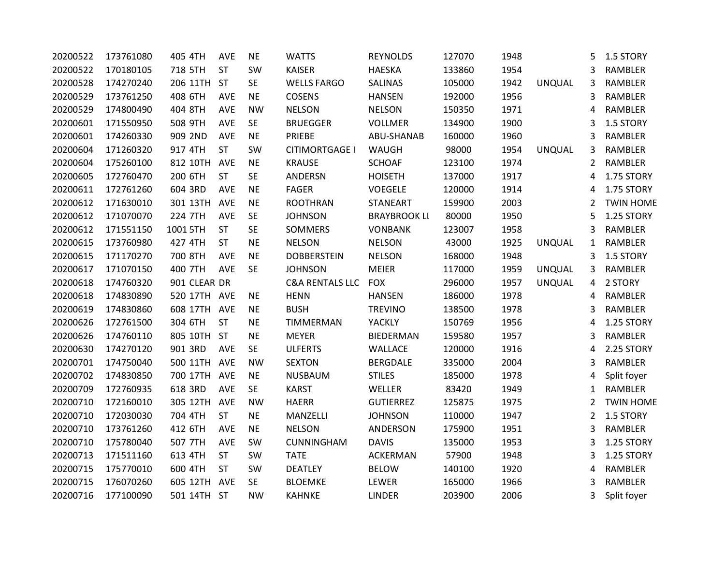| 20200522 | 173761080 | 405 4TH      | <b>AVE</b> | <b>NE</b> | <b>WATTS</b>               | <b>REYNOLDS</b>     | 127070 | 1948 |               | 5 | 1.5 STORY        |
|----------|-----------|--------------|------------|-----------|----------------------------|---------------------|--------|------|---------------|---|------------------|
| 20200522 | 170180105 | 718 5TH      | <b>ST</b>  | SW        | <b>KAISER</b>              | <b>HAESKA</b>       | 133860 | 1954 |               | 3 | RAMBLER          |
| 20200528 | 174270240 | 206 11TH     | <b>ST</b>  | <b>SE</b> | <b>WELLS FARGO</b>         | <b>SALINAS</b>      | 105000 | 1942 | <b>UNQUAL</b> | 3 | RAMBLER          |
| 20200529 | 173761250 | 408 6TH      | <b>AVE</b> | <b>NE</b> | <b>COSENS</b>              | <b>HANSEN</b>       | 192000 | 1956 |               | 3 | RAMBLER          |
| 20200529 | 174800490 | 404 8TH      | <b>AVE</b> | <b>NW</b> | <b>NELSON</b>              | <b>NELSON</b>       | 150350 | 1971 |               | 4 | RAMBLER          |
| 20200601 | 171550950 | 508 9TH      | <b>AVE</b> | <b>SE</b> | <b>BRUEGGER</b>            | <b>VOLLMER</b>      | 134900 | 1900 |               | 3 | 1.5 STORY        |
| 20200601 | 174260330 | 909 2ND      | <b>AVE</b> | <b>NE</b> | PRIEBE                     | ABU-SHANAB          | 160000 | 1960 |               | 3 | RAMBLER          |
| 20200604 | 171260320 | 917 4TH      | <b>ST</b>  | SW        | CITIMORTGAGE I             | WAUGH               | 98000  | 1954 | <b>UNQUAL</b> | 3 | RAMBLER          |
| 20200604 | 175260100 | 812 10TH     | <b>AVE</b> | <b>NE</b> | <b>KRAUSE</b>              | <b>SCHOAF</b>       | 123100 | 1974 |               | 2 | RAMBLER          |
| 20200605 | 172760470 | 200 6TH      | <b>ST</b>  | <b>SE</b> | ANDERSN                    | <b>HOISETH</b>      | 137000 | 1917 |               | 4 | 1.75 STORY       |
| 20200611 | 172761260 | 604 3RD      | AVE        | <b>NE</b> | <b>FAGER</b>               | VOEGELE             | 120000 | 1914 |               | 4 | 1.75 STORY       |
| 20200612 | 171630010 | 301 13TH     | <b>AVE</b> | <b>NE</b> | <b>ROOTHRAN</b>            | <b>STANEART</b>     | 159900 | 2003 |               | 2 | <b>TWIN HOME</b> |
| 20200612 | 171070070 | 224 7TH      | <b>AVE</b> | <b>SE</b> | <b>JOHNSON</b>             | <b>BRAYBROOK LI</b> | 80000  | 1950 |               | 5 | 1.25 STORY       |
| 20200612 | 171551150 | 1001 5TH     | <b>ST</b>  | <b>SE</b> | <b>SOMMERS</b>             | <b>VONBANK</b>      | 123007 | 1958 |               | 3 | RAMBLER          |
| 20200615 | 173760980 | 427 4TH      | <b>ST</b>  | <b>NE</b> | <b>NELSON</b>              | <b>NELSON</b>       | 43000  | 1925 | <b>UNQUAL</b> | 1 | RAMBLER          |
| 20200615 | 171170270 | 700 8TH      | <b>AVE</b> | <b>NE</b> | <b>DOBBERSTEIN</b>         | <b>NELSON</b>       | 168000 | 1948 |               | 3 | 1.5 STORY        |
| 20200617 | 171070150 | 400 7TH      | <b>AVE</b> | <b>SE</b> | <b>JOHNSON</b>             | MEIER               | 117000 | 1959 | <b>UNQUAL</b> | 3 | RAMBLER          |
| 20200618 | 174760320 | 901 CLEAR DR |            |           | <b>C&amp;A RENTALS LLC</b> | <b>FOX</b>          | 296000 | 1957 | <b>UNQUAL</b> | 4 | 2 STORY          |
| 20200618 | 174830890 | 520 17TH AVE |            | <b>NE</b> | <b>HENN</b>                | <b>HANSEN</b>       | 186000 | 1978 |               | 4 | RAMBLER          |
| 20200619 | 174830860 | 608 17TH     | <b>AVE</b> | <b>NE</b> | <b>BUSH</b>                | <b>TREVINO</b>      | 138500 | 1978 |               | 3 | RAMBLER          |
| 20200626 | 172761500 | 304 6TH      | <b>ST</b>  | <b>NE</b> | TIMMERMAN                  | YACKLY              | 150769 | 1956 |               | 4 | 1.25 STORY       |
| 20200626 | 174760110 | 805 10TH ST  |            | <b>NE</b> | <b>MEYER</b>               | <b>BIEDERMAN</b>    | 159580 | 1957 |               | 3 | RAMBLER          |
| 20200630 | 174270120 | 901 3RD      | <b>AVE</b> | <b>SE</b> | <b>ULFERTS</b>             | WALLACE             | 120000 | 1916 |               | 4 | 2.25 STORY       |
| 20200701 | 174750040 | 500 11TH     | AVE        | <b>NW</b> | <b>SEXTON</b>              | <b>BERGDALE</b>     | 335000 | 2004 |               | 3 | RAMBLER          |
| 20200702 | 174830850 | 700 17TH     | <b>AVE</b> | <b>NE</b> | <b>NUSBAUM</b>             | <b>STILES</b>       | 185000 | 1978 |               | 4 | Split foyer      |
| 20200709 | 172760935 | 618 3RD      | <b>AVE</b> | <b>SE</b> | <b>KARST</b>               | WELLER              | 83420  | 1949 |               | 1 | <b>RAMBLER</b>   |
| 20200710 | 172160010 | 305 12TH     | <b>AVE</b> | <b>NW</b> | <b>HAERR</b>               | <b>GUTIERREZ</b>    | 125875 | 1975 |               | 2 | <b>TWIN HOME</b> |
| 20200710 | 172030030 | 704 4TH      | <b>ST</b>  | <b>NE</b> | MANZELLI                   | <b>JOHNSON</b>      | 110000 | 1947 |               | 2 | 1.5 STORY        |
| 20200710 | 173761260 | 412 6TH      | <b>AVE</b> | <b>NE</b> | <b>NELSON</b>              | ANDERSON            | 175900 | 1951 |               | 3 | RAMBLER          |
| 20200710 | 175780040 | 507 7TH      | <b>AVE</b> | SW        | CUNNINGHAM                 | <b>DAVIS</b>        | 135000 | 1953 |               | 3 | 1.25 STORY       |
| 20200713 | 171511160 | 613 4TH      | <b>ST</b>  | SW        | <b>TATE</b>                | ACKERMAN            | 57900  | 1948 |               | 3 | 1.25 STORY       |
| 20200715 | 175770010 | 600 4TH      | <b>ST</b>  | SW        | <b>DEATLEY</b>             | <b>BELOW</b>        | 140100 | 1920 |               | 4 | RAMBLER          |
| 20200715 | 176070260 | 605 12TH     | AVE        | <b>SE</b> | <b>BLOEMKE</b>             | LEWER               | 165000 | 1966 |               | 3 | RAMBLER          |
| 20200716 | 177100090 | 501 14TH ST  |            | <b>NW</b> | <b>KAHNKE</b>              | <b>LINDER</b>       | 203900 | 2006 |               | 3 | Split foyer      |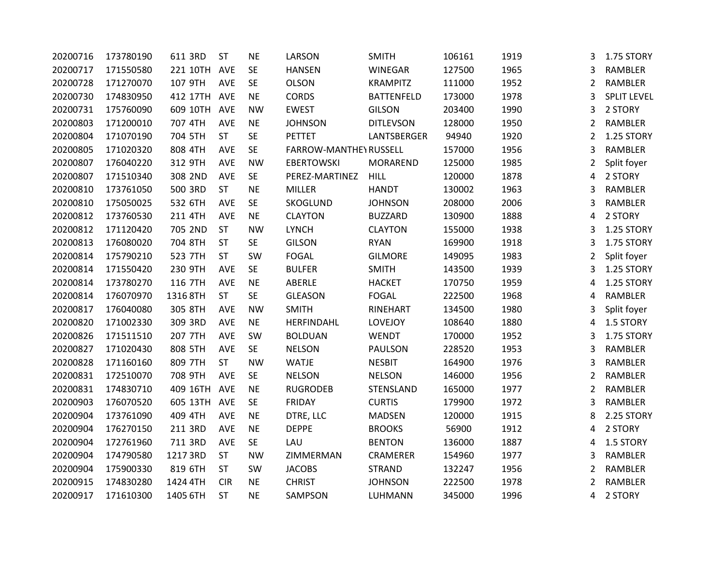| 20200716 | 173780190 | 611 3RD  | <b>ST</b>  | <b>NE</b> | LARSON                 | <b>SMITH</b>      | 106161 | 1919 | 3              | 1.75 STORY         |
|----------|-----------|----------|------------|-----------|------------------------|-------------------|--------|------|----------------|--------------------|
| 20200717 | 171550580 | 221 10TH | AVE        | <b>SE</b> | <b>HANSEN</b>          | WINEGAR           | 127500 | 1965 | 3              | RAMBLER            |
| 20200728 | 171270070 | 107 9TH  | AVE        | <b>SE</b> | <b>OLSON</b>           | <b>KRAMPITZ</b>   | 111000 | 1952 | 2              | RAMBLER            |
| 20200730 | 174830950 | 412 17TH | AVE        | <b>NE</b> | <b>CORDS</b>           | <b>BATTENFELD</b> | 173000 | 1978 | 3              | <b>SPLIT LEVEL</b> |
| 20200731 | 175760090 | 609 10TH | AVE        | <b>NW</b> | <b>EWEST</b>           | <b>GILSON</b>     | 203400 | 1990 | 3              | 2 STORY            |
| 20200803 | 171200010 | 707 4TH  | AVE        | <b>NE</b> | <b>JOHNSON</b>         | <b>DITLEVSON</b>  | 128000 | 1950 | $\overline{2}$ | RAMBLER            |
| 20200804 | 171070190 | 704 5TH  | <b>ST</b>  | SE        | PETTET                 | LANTSBERGER       | 94940  | 1920 | 2              | 1.25 STORY         |
| 20200805 | 171020320 | 808 4TH  | AVE        | <b>SE</b> | FARROW-MANTHEY RUSSELL |                   | 157000 | 1956 | 3              | <b>RAMBLER</b>     |
| 20200807 | 176040220 | 312 9TH  | <b>AVE</b> | <b>NW</b> | <b>EBERTOWSKI</b>      | MORAREND          | 125000 | 1985 | 2              | Split foyer        |
| 20200807 | 171510340 | 308 2ND  | AVE        | <b>SE</b> | PEREZ-MARTINEZ         | <b>HILL</b>       | 120000 | 1878 | 4              | 2 STORY            |
| 20200810 | 173761050 | 500 3RD  | <b>ST</b>  | <b>NE</b> | <b>MILLER</b>          | <b>HANDT</b>      | 130002 | 1963 | 3              | RAMBLER            |
| 20200810 | 175050025 | 532 6TH  | AVE        | <b>SE</b> | SKOGLUND               | <b>JOHNSON</b>    | 208000 | 2006 | 3              | RAMBLER            |
| 20200812 | 173760530 | 211 4TH  | <b>AVE</b> | <b>NE</b> | <b>CLAYTON</b>         | <b>BUZZARD</b>    | 130900 | 1888 | 4              | 2 STORY            |
| 20200812 | 171120420 | 705 2ND  | <b>ST</b>  | <b>NW</b> | <b>LYNCH</b>           | <b>CLAYTON</b>    | 155000 | 1938 | 3              | 1.25 STORY         |
| 20200813 | 176080020 | 704 8TH  | <b>ST</b>  | <b>SE</b> | <b>GILSON</b>          | <b>RYAN</b>       | 169900 | 1918 | 3              | 1.75 STORY         |
| 20200814 | 175790210 | 523 7TH  | <b>ST</b>  | SW        | FOGAL                  | <b>GILMORE</b>    | 149095 | 1983 | $\overline{2}$ | Split foyer        |
| 20200814 | 171550420 | 230 9TH  | AVE        | <b>SE</b> | <b>BULFER</b>          | <b>SMITH</b>      | 143500 | 1939 | 3              | 1.25 STORY         |
| 20200814 | 173780270 | 116 7TH  | AVE        | <b>NE</b> | ABERLE                 | <b>HACKET</b>     | 170750 | 1959 | 4              | 1.25 STORY         |
| 20200814 | 176070970 | 1316 8TH | <b>ST</b>  | <b>SE</b> | <b>GLEASON</b>         | <b>FOGAL</b>      | 222500 | 1968 | 4              | RAMBLER            |
| 20200817 | 176040080 | 305 8TH  | AVE        | <b>NW</b> | <b>SMITH</b>           | RINEHART          | 134500 | 1980 | 3              | Split foyer        |
| 20200820 | 171002330 | 309 3RD  | AVE        | <b>NE</b> | HERFINDAHL             | LOVEJOY           | 108640 | 1880 | 4              | 1.5 STORY          |
| 20200826 | 171511510 | 207 7TH  | AVE        | SW        | <b>BOLDUAN</b>         | <b>WENDT</b>      | 170000 | 1952 | 3              | 1.75 STORY         |
| 20200827 | 171020430 | 808 5TH  | <b>AVE</b> | SE        | <b>NELSON</b>          | PAULSON           | 228520 | 1953 | 3              | RAMBLER            |
| 20200828 | 171160160 | 809 7TH  | <b>ST</b>  | <b>NW</b> | <b>WATJE</b>           | <b>NESBIT</b>     | 164900 | 1976 | 3              | <b>RAMBLER</b>     |
| 20200831 | 172510070 | 708 9TH  | AVE        | <b>SE</b> | <b>NELSON</b>          | <b>NELSON</b>     | 146000 | 1956 | 2              | <b>RAMBLER</b>     |
| 20200831 | 174830710 | 409 16TH | AVE        | <b>NE</b> | <b>RUGRODEB</b>        | STENSLAND         | 165000 | 1977 | 2              | RAMBLER            |
| 20200903 | 176070520 | 605 13TH | AVE        | <b>SE</b> | <b>FRIDAY</b>          | <b>CURTIS</b>     | 179900 | 1972 | 3              | RAMBLER            |
| 20200904 | 173761090 | 409 4TH  | AVE        | <b>NE</b> | DTRE, LLC              | <b>MADSEN</b>     | 120000 | 1915 | 8              | 2.25 STORY         |
| 20200904 | 176270150 | 211 3RD  | AVE        | <b>NE</b> | <b>DEPPE</b>           | <b>BROOKS</b>     | 56900  | 1912 | 4              | 2 STORY            |
| 20200904 | 172761960 | 711 3RD  | AVE        | <b>SE</b> | LAU                    | <b>BENTON</b>     | 136000 | 1887 | 4              | 1.5 STORY          |
| 20200904 | 174790580 | 1217 3RD | <b>ST</b>  | <b>NW</b> | ZIMMERMAN              | CRAMERER          | 154960 | 1977 | 3              | <b>RAMBLER</b>     |
| 20200904 | 175900330 | 819 6TH  | <b>ST</b>  | SW        | <b>JACOBS</b>          | <b>STRAND</b>     | 132247 | 1956 | $\overline{2}$ | <b>RAMBLER</b>     |
| 20200915 | 174830280 | 1424 4TH | <b>CIR</b> | <b>NE</b> | <b>CHRIST</b>          | <b>JOHNSON</b>    | 222500 | 1978 | 2              | RAMBLER            |
| 20200917 | 171610300 | 1405 6TH | <b>ST</b>  | <b>NE</b> | SAMPSON                | LUHMANN           | 345000 | 1996 | 4              | 2 STORY            |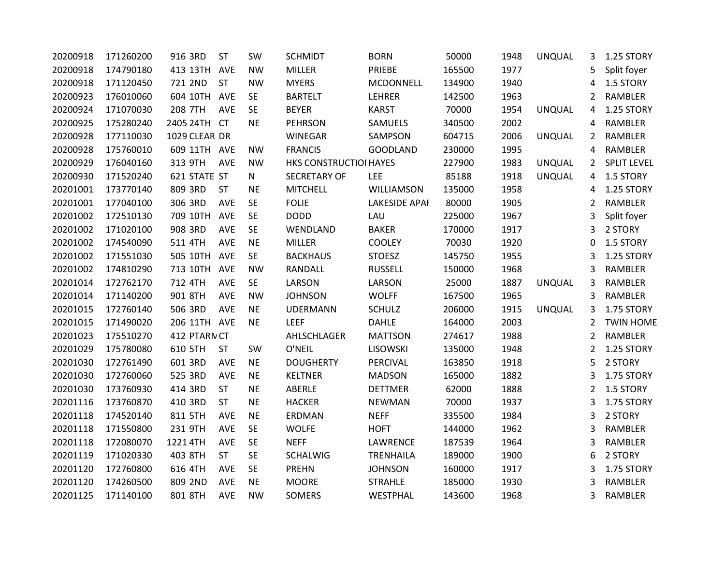| 20200918 | 171260200 | 916 3RD       | <b>ST</b>  | SW           | <b>SCHMIDT</b>         | <b>BORN</b>      | 50000  | 1948 | <b>UNQUAL</b> | 3              | 1.25 STORY         |
|----------|-----------|---------------|------------|--------------|------------------------|------------------|--------|------|---------------|----------------|--------------------|
| 20200918 | 174790180 | 413 13TH      | <b>AVE</b> | <b>NW</b>    | <b>MILLER</b>          | PRIEBE           | 165500 | 1977 |               | 5              | Split foyer        |
| 20200918 | 171120450 | 721 2ND       | <b>ST</b>  | <b>NW</b>    | <b>MYERS</b>           | MCDONNELL        | 134900 | 1940 |               | 4              | 1.5 STORY          |
| 20200923 | 176010060 | 604 10TH      | <b>AVE</b> | <b>SE</b>    | <b>BARTELT</b>         | LEHRER           | 142500 | 1963 |               | 2              | RAMBLER            |
| 20200924 | 171070030 | 208 7TH       | <b>AVE</b> | <b>SE</b>    | <b>BEYER</b>           | <b>KARST</b>     | 70000  | 1954 | <b>UNQUAL</b> | 4              | 1.25 STORY         |
| 20200925 | 175280240 | 2405 24TH     | <b>CT</b>  | <b>NE</b>    | <b>PEHRSON</b>         | SAMUELS          | 340500 | 2002 |               | 4              | RAMBLER            |
| 20200928 | 177110030 | 1029 CLEAR DR |            |              | WINEGAR                | SAMPSON          | 604715 | 2006 | <b>UNQUAL</b> | $\overline{2}$ | RAMBLER            |
| 20200928 | 175760010 | 609 11TH AVE  |            | <b>NW</b>    | <b>FRANCIS</b>         | <b>GOODLAND</b>  | 230000 | 1995 |               | 4              | RAMBLER            |
| 20200929 | 176040160 | 313 9TH       | AVE        | <b>NW</b>    | HKS CONSTRUCTIOI HAYES |                  | 227900 | 1983 | <b>UNQUAL</b> | 2              | <b>SPLIT LEVEL</b> |
| 20200930 | 171520240 | 621 STATE ST  |            | $\mathsf{N}$ | <b>SECRETARY OF</b>    | <b>LEE</b>       | 85188  | 1918 | <b>UNQUAL</b> | 4              | 1.5 STORY          |
| 20201001 | 173770140 | 809 3RD       | <b>ST</b>  | <b>NE</b>    | <b>MITCHELL</b>        | WILLIAMSON       | 135000 | 1958 |               | 4              | 1.25 STORY         |
| 20201001 | 177040100 | 306 3RD       | <b>AVE</b> | <b>SE</b>    | <b>FOLIE</b>           | LAKESIDE APAI    | 80000  | 1905 |               | 2              | RAMBLER            |
| 20201002 | 172510130 | 709 10TH      | AVE        | <b>SE</b>    | <b>DODD</b>            | LAU              | 225000 | 1967 |               | 3              | Split foyer        |
| 20201002 | 171020100 | 908 3RD       | <b>AVE</b> | <b>SE</b>    | WENDLAND               | <b>BAKER</b>     | 170000 | 1917 |               | 3              | 2 STORY            |
| 20201002 | 174540090 | 511 4TH       | <b>AVE</b> | $\sf NE$     | <b>MILLER</b>          | <b>COOLEY</b>    | 70030  | 1920 |               | 0              | 1.5 STORY          |
| 20201002 | 171551030 | 505 10TH      | <b>AVE</b> | <b>SE</b>    | <b>BACKHAUS</b>        | <b>STOESZ</b>    | 145750 | 1955 |               | 3              | 1.25 STORY         |
| 20201002 | 174810290 | 713 10TH AVE  |            | <b>NW</b>    | RANDALL                | <b>RUSSELL</b>   | 150000 | 1968 |               | 3              | RAMBLER            |
| 20201014 | 172762170 | 712 4TH       | AVE        | <b>SE</b>    | LARSON                 | LARSON           | 25000  | 1887 | <b>UNQUAL</b> | 3              | RAMBLER            |
| 20201014 | 171140200 | 901 8TH       | AVE        | <b>NW</b>    | <b>JOHNSON</b>         | <b>WOLFF</b>     | 167500 | 1965 |               | 3              | RAMBLER            |
| 20201015 | 172760140 | 506 3RD       | <b>AVE</b> | <b>NE</b>    | <b>UDERMANN</b>        | <b>SCHULZ</b>    | 206000 | 1915 | <b>UNQUAL</b> | 3              | 1.75 STORY         |
| 20201015 | 171490020 | 206 11TH AVE  |            | <b>NE</b>    | LEEF                   | <b>DAHLE</b>     | 164000 | 2003 |               | 2              | <b>TWIN HOME</b>   |
| 20201023 | 175510270 | 412 PTARN CT  |            |              | AHLSCHLAGER            | <b>MATTSON</b>   | 274617 | 1988 |               | 2              | RAMBLER            |
| 20201029 | 175780080 | 610 5TH       | <b>ST</b>  | SW           | O'NEIL                 | <b>LISOWSKI</b>  | 135000 | 1948 |               | $\overline{2}$ | 1.25 STORY         |
| 20201030 | 172761490 | 601 3RD       | AVE        | <b>NE</b>    | <b>DOUGHERTY</b>       | PERCIVAL         | 163850 | 1918 |               | 5              | 2 STORY            |
| 20201030 | 172760060 | 525 3RD       | AVE        | <b>NE</b>    | <b>KELTNER</b>         | <b>MADSON</b>    | 165000 | 1882 |               | 3              | 1.75 STORY         |
| 20201030 | 173760930 | 414 3RD       | <b>ST</b>  | <b>NE</b>    | ABERLE                 | <b>DETTMER</b>   | 62000  | 1888 |               | 2              | 1.5 STORY          |
| 20201116 | 173760870 | 410 3RD       | <b>ST</b>  | <b>NE</b>    | <b>HACKER</b>          | <b>NEWMAN</b>    | 70000  | 1937 |               | 3              | 1.75 STORY         |
| 20201118 | 174520140 | 811 5TH       | AVE        | <b>NE</b>    | ERDMAN                 | <b>NEFF</b>      | 335500 | 1984 |               | 3              | 2 STORY            |
| 20201118 | 171550800 | 231 9TH       | <b>AVE</b> | <b>SE</b>    | <b>WOLFE</b>           | <b>HOFT</b>      | 144000 | 1962 |               | 3              | RAMBLER            |
| 20201118 | 172080070 | 1221 4TH      | <b>AVE</b> | <b>SE</b>    | <b>NEFF</b>            | LAWRENCE         | 187539 | 1964 |               | 3              | RAMBLER            |
| 20201119 | 171020330 | 403 8TH       | <b>ST</b>  | <b>SE</b>    | <b>SCHALWIG</b>        | <b>TRENHAILA</b> | 189000 | 1900 |               | 6              | 2 STORY            |
| 20201120 | 172760800 | 616 4TH       | <b>AVE</b> | <b>SE</b>    | <b>PREHN</b>           | <b>JOHNSON</b>   | 160000 | 1917 |               | 3              | 1.75 STORY         |
| 20201120 | 174260500 | 809 2ND       | <b>AVE</b> | <b>NE</b>    | <b>MOORE</b>           | <b>STRAHLE</b>   | 185000 | 1930 |               | 3              | RAMBLER            |
| 20201125 | 171140100 | 801 8TH       | <b>AVE</b> | <b>NW</b>    | <b>SOMERS</b>          | WESTPHAL         | 143600 | 1968 |               | 3              | RAMBLER            |